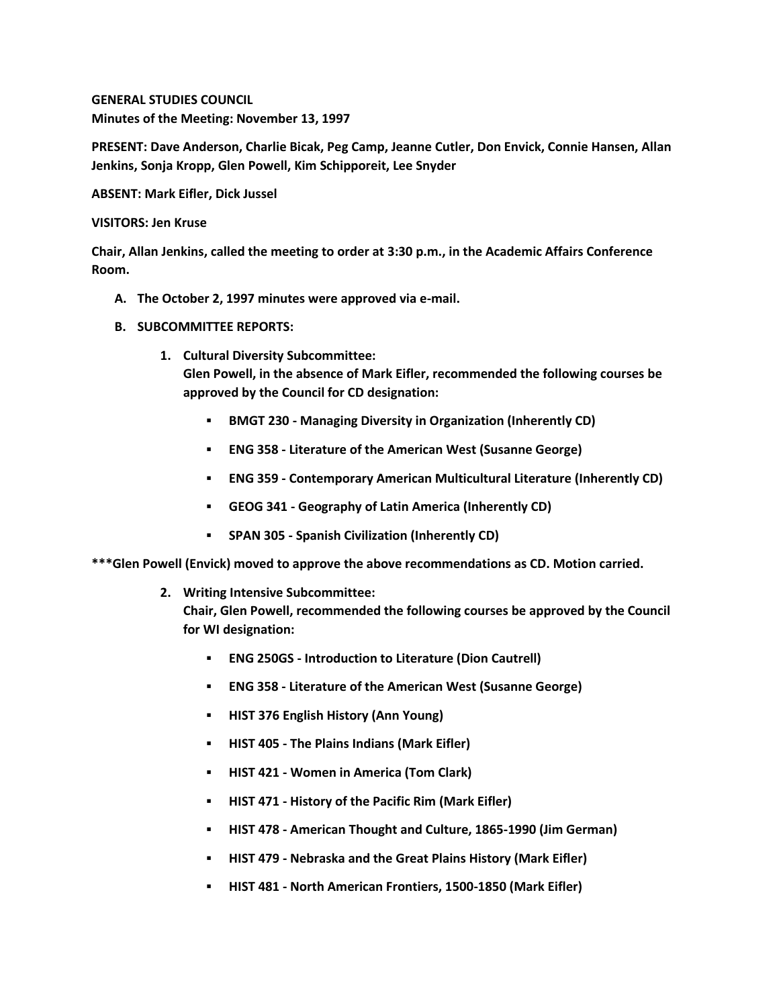**GENERAL STUDIES COUNCIL Minutes of the Meeting: November 13, 1997**

**PRESENT: Dave Anderson, Charlie Bicak, Peg Camp, Jeanne Cutler, Don Envick, Connie Hansen, Allan Jenkins, Sonja Kropp, Glen Powell, Kim Schipporeit, Lee Snyder**

**ABSENT: Mark Eifler, Dick Jussel**

**VISITORS: Jen Kruse**

**Chair, Allan Jenkins, called the meeting to order at 3:30 p.m., in the Academic Affairs Conference Room.**

- **A. The October 2, 1997 minutes were approved via e-mail.**
- **B. SUBCOMMITTEE REPORTS:**
	- **1. Cultural Diversity Subcommittee: Glen Powell, in the absence of Mark Eifler, recommended the following courses be approved by the Council for CD designation:** 
		- **BMGT 230 - Managing Diversity in Organization (Inherently CD)**
		- **ENG 358 - Literature of the American West (Susanne George)**
		- **ENG 359 - Contemporary American Multicultural Literature (Inherently CD)**
		- **GEOG 341 - Geography of Latin America (Inherently CD)**
		- **SPAN 305 - Spanish Civilization (Inherently CD)**

**\*\*\*Glen Powell (Envick) moved to approve the above recommendations as CD. Motion carried.**

**2. Writing Intensive Subcommittee:**

**Chair, Glen Powell, recommended the following courses be approved by the Council for WI designation:** 

- **ENG 250GS - Introduction to Literature (Dion Cautrell)**
- **ENG 358 - Literature of the American West (Susanne George)**
- **HIST 376 English History (Ann Young)**
- **HIST 405 - The Plains Indians (Mark Eifler)**
- **HIST 421 - Women in America (Tom Clark)**
- **HIST 471 - History of the Pacific Rim (Mark Eifler)**
- **HIST 478 - American Thought and Culture, 1865-1990 (Jim German)**
- **HIST 479 - Nebraska and the Great Plains History (Mark Eifler)**
- **HIST 481 - North American Frontiers, 1500-1850 (Mark Eifler)**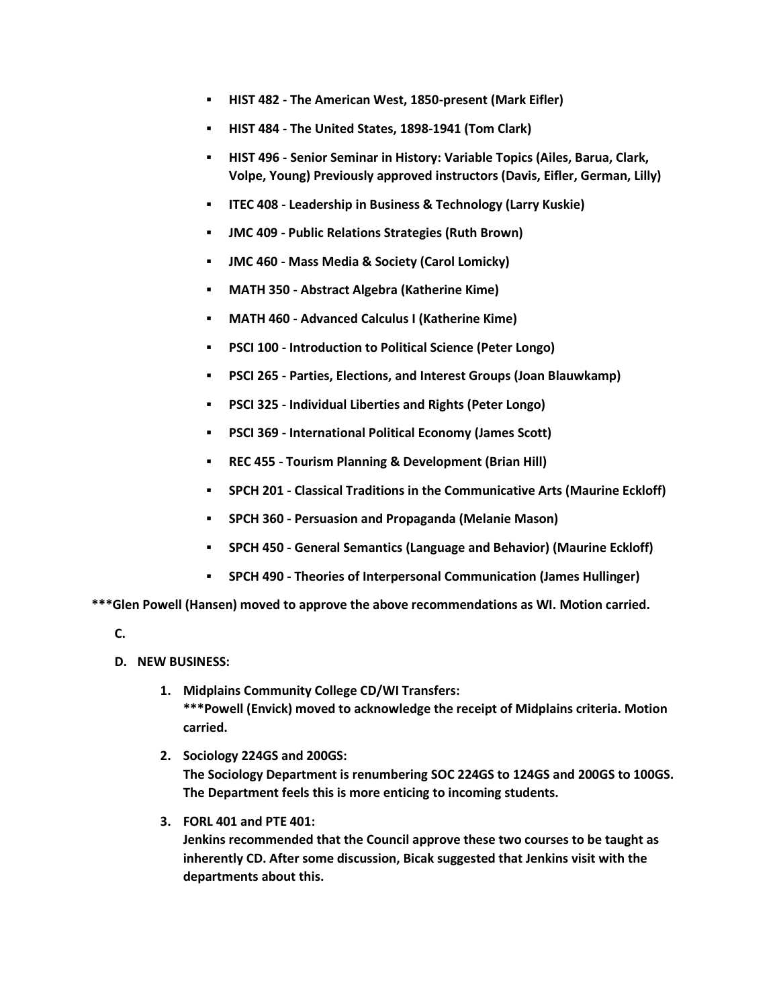- **HIST 482 - The American West, 1850-present (Mark Eifler)**
- **HIST 484 - The United States, 1898-1941 (Tom Clark)**
- **HIST 496 - Senior Seminar in History: Variable Topics (Ailes, Barua, Clark, Volpe, Young) Previously approved instructors (Davis, Eifler, German, Lilly)**
- **ITEC 408 - Leadership in Business & Technology (Larry Kuskie)**
- **JMC 409 - Public Relations Strategies (Ruth Brown)**
- **JMC 460 - Mass Media & Society (Carol Lomicky)**
- **MATH 350 - Abstract Algebra (Katherine Kime)**
- **MATH 460 - Advanced Calculus I (Katherine Kime)**
- **PSCI 100 - Introduction to Political Science (Peter Longo)**
- **PSCI 265 - Parties, Elections, and Interest Groups (Joan Blauwkamp)**
- **PSCI 325 - Individual Liberties and Rights (Peter Longo)**
- **PSCI 369 - International Political Economy (James Scott)**
- **REC 455 - Tourism Planning & Development (Brian Hill)**
- **SPCH 201 - Classical Traditions in the Communicative Arts (Maurine Eckloff)**
- **SPCH 360 - Persuasion and Propaganda (Melanie Mason)**
- **SPCH 450 - General Semantics (Language and Behavior) (Maurine Eckloff)**
- **SPCH 490 - Theories of Interpersonal Communication (James Hullinger)**

**\*\*\*Glen Powell (Hansen) moved to approve the above recommendations as WI. Motion carried.**

**C.**

- **D. NEW BUSINESS:**
	- **1. Midplains Community College CD/WI Transfers: \*\*\*Powell (Envick) moved to acknowledge the receipt of Midplains criteria. Motion carried.**
	- **2. Sociology 224GS and 200GS: The Sociology Department is renumbering SOC 224GS to 124GS and 200GS to 100GS. The Department feels this is more enticing to incoming students.**
	- **3. FORL 401 and PTE 401:**

**Jenkins recommended that the Council approve these two courses to be taught as inherently CD. After some discussion, Bicak suggested that Jenkins visit with the departments about this.**